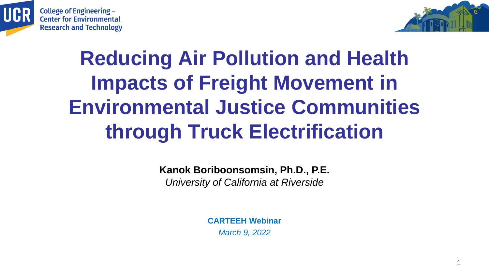





1

# **Reducing Air Pollution and Health Impacts of Freight Movement in Environmental Justice Communities through Truck Electrification**

**Kanok Boriboonsomsin, Ph.D., P.E.** *University of California at Riverside*

> **CARTEEH Webinar** *March 9, 2022*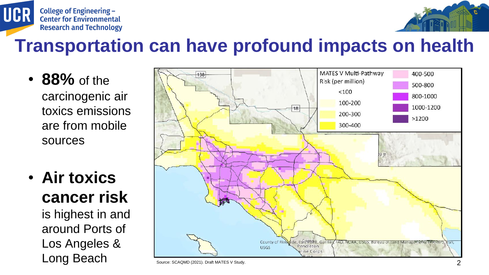



#### **Transportation can have profound impacts on health**

- **88%** of the carcinogenic air toxics emissions are from mobile sources
- **Air toxics cancer risk**

is highest in and around Ports of Los Angeles &

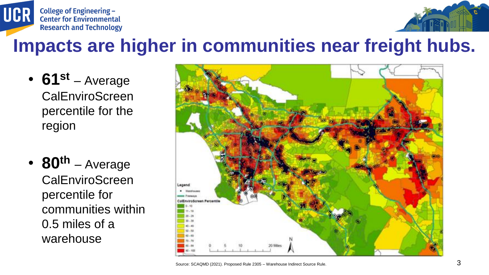



#### **Impacts are higher in communities near freight hubs.**

- **61st** Average **CalEnviroScreen** percentile for the region
- **80th** Average CalEnviroScreen percentile for communities within 0.5 miles of a warehouse

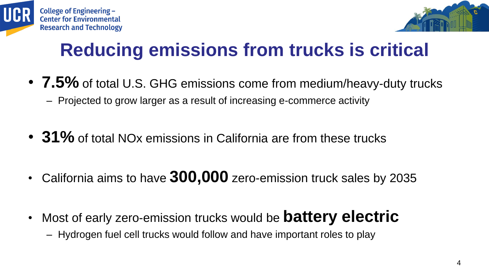



## **Reducing emissions from trucks is critical**

- **7.5%** of total U.S. GHG emissions come from medium/heavy-duty trucks – Projected to grow larger as a result of increasing e-commerce activity
- **31%** of total NOx emissions in California are from these trucks
- California aims to have **300,000** zero-emission truck sales by 2035
- Most of early zero-emission trucks would be **battery electric** – Hydrogen fuel cell trucks would follow and have important roles to play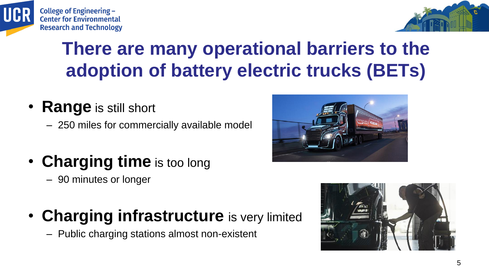



### **There are many operational barriers to the adoption of battery electric trucks (BETs)**

- **Range** is still short
	- 250 miles for commercially available model
- **Charging time** is too long
	- 90 minutes or longer
- **Charging infrastructure** is very limited
	- Public charging stations almost non-existent



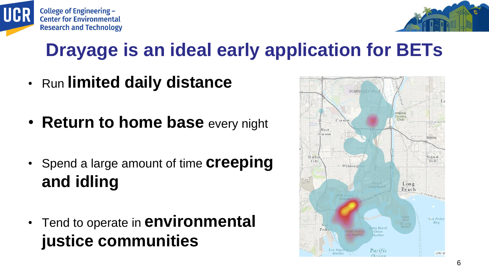



#### **Drayage is an ideal early application for BETs**

- Run **limited daily distance**
- **Return to home base** every night
- Spend a large amount of time **creeping and idling**
- Tend to operate in **environmental justice communities**

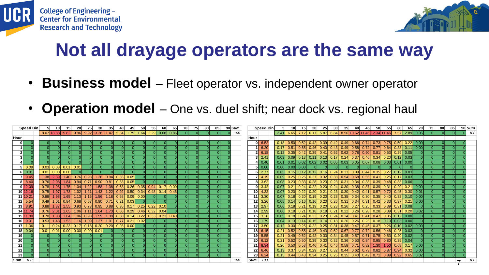



### **Not all drayage operators are the same way**

- **Business model** Fleet operator vs. independent owner operator
- **Operation model** One vs. duel shift; near dock vs. regional haul

| Speed Bin       |                  | 10 <sup>1</sup> | 15                  | 20   | 25                                             | 30   | 35        | 40   | 45          | 50          | 55                                                      | 60   | 65                    | 70 I | 75 | 80            | 85 | 90 Sum |      | <b>Speed Bin</b>                    |      | 10 <sup>1</sup>    | 15 <sub>l</sub>                                                                                                               | 20 | 25               | 30 <sub>l</sub> | 35 <sub>1</sub>                                                                    | 40                            | 45                | 50   | 55   | 60 | 65                    | 70                                                                                                                   | 75 | 80 | 85 | $90$ Sum |
|-----------------|------------------|-----------------|---------------------|------|------------------------------------------------|------|-----------|------|-------------|-------------|---------------------------------------------------------|------|-----------------------|------|----|---------------|----|--------|------|-------------------------------------|------|--------------------|-------------------------------------------------------------------------------------------------------------------------------|----|------------------|-----------------|------------------------------------------------------------------------------------|-------------------------------|-------------------|------|------|----|-----------------------|----------------------------------------------------------------------------------------------------------------------|----|----|----|----------|
|                 | 8.07 18.88 15.82 |                 |                     |      | $9.96$ $9.92$ 13.28 11.47 5.34                 |      |           |      | 1.79        |             | $1.64$ 2.29                                             |      | $0.68$ $0.85$         |      |    |               |    | 100    |      |                                     |      |                    | 2.41 6.65 7.12 6.17 5.87 6.84 8.56 10.62 11.46 12.34 11.46 7.57 2.89 0.06                                                     |    |                  |                 |                                                                                    |                               |                   |      |      |    |                       |                                                                                                                      |    |    |    | 100      |
| Hour            |                  |                 |                     |      |                                                |      |           |      |             |             |                                                         |      |                       |      |    |               |    |        | Hour |                                     |      |                    |                                                                                                                               |    |                  |                 |                                                                                    |                               |                   |      |      |    |                       |                                                                                                                      |    |    |    |          |
|                 |                  |                 |                     |      |                                                |      |           |      |             |             |                                                         |      |                       |      |    |               |    |        |      | $0 \ 6.52$                          |      |                    | $0.18$ 0.50 0.52 0.42 0.39 0.42 0.49 0.66 0.74 0.73 0.75 0.50 0.22                                                            |    |                  |                 |                                                                                    |                               |                   |      |      |    |                       | $\vert$ 0.00 $\vert$                                                                                                 |    |    |    |          |
|                 |                  |                 |                     |      |                                                |      |           |      |             |             |                                                         |      |                       |      |    |               |    |        |      | $1 \vert 6.20$                      |      |                    | $0.17$ 0.51 0.55 0.46 0.40 0.43 0.49 0.58 0.72 0.77 0.64 0.38 0.11                                                            |    |                  |                 |                                                                                    |                               |                   |      |      |    |                       | $\vert 0.00 \vert$                                                                                                   |    |    |    |          |
|                 |                  |                 |                     |      |                                                |      |           |      |             |             |                                                         |      |                       |      |    |               |    |        |      | $2 \ 6.18$                          |      | $0.12$ 0.35        | 0.42                                                                                                                          |    | $0.39$ 0.41 0.52 |                 | 0.62                                                                               | $\vert 0.78 \vert 0.90 \vert$ |                   | 0.81 | 0.53 |    | $0.29$ 0.05           |                                                                                                                      |    |    |    |          |
|                 |                  |                 |                     |      |                                                |      |           |      |             |             |                                                         |      |                       |      |    |               |    |        |      | $3 \mid 2.41$                       |      | $0.03$ 0.09        | 0.13                                                                                                                          |    | $0.11$ 0.13 0.17 |                 | $\vert 0.24 \vert$                                                                 |                               | $0.37$ 0.46       | 0.34 |      |    | $0.20$ 0.12 0.03      |                                                                                                                      |    |    |    |          |
|                 |                  |                 |                     |      |                                                |      |           |      |             |             |                                                         |      |                       |      |    |               |    |        |      | $4 \mid 0.40 \mid$                  |      |                    | $[0.01]$ $[0.01]$ $[0.02]$ $[0.02]$ $[0.02]$ $[0.05]$ $[0.03]$ $[0.05]$ $[0.07]$ $[0.08]$ $[0.03]$ $[0.01]$ $[0.00]$          |    |                  |                 |                                                                                    |                               |                   |      |      |    |                       |                                                                                                                      |    |    |    |          |
| $5$ 0.09        | 0.03             |                 | $0.03$ 0.01 0.01    |      |                                                |      |           |      |             |             |                                                         |      |                       |      |    |               |    |        |      | $5$ 0.00                            |      |                    | $0.00$ 0.00 0.00                                                                                                              |    |                  |                 |                                                                                    |                               |                   |      |      |    |                       |                                                                                                                      |    |    |    |          |
| 6 0.01          | 0.01             |                 | $0.00$ 0.00         |      |                                                |      |           |      |             |             |                                                         |      |                       |      |    |               |    |        |      | $6 \vert 2.77$                      |      |                    | $[0.05]$ $[0.15]$ $[0.12]$ $[0.12]$ $[0.16]$ $[0.24]$ $[0.33]$ $[0.39]$ $[0.44]$ $[0.35]$ $[0.27]$ $[0.12]$ $[0.03]$          |    |                  |                 |                                                                                    |                               |                   |      |      |    |                       |                                                                                                                      |    |    |    |          |
| $7$ 9.45        | 1.38             | 2.39            | 1.40                | 0.76 | 0.93                                           | 1.26 | 0.94      | 0.35 | 0.05        |             |                                                         |      |                       |      |    |               |    |        |      | $7\vert 4.19$                       | 0.09 | 0.25               | 0.26                                                                                                                          |    |                  |                 | $0.27$ 0.32 0.38 0.54 0.68 0.55                                                    |                               |                   |      |      |    |                       |                                                                                                                      |    |    |    |          |
| $8 \ 8.40$      | 0.76             | 2.08            | 1.84                | 0.94 | 0.71                                           |      | 0.90 0.81 | 0.33 | 0.05        |             | $\Omega$                                                |      |                       |      |    |               |    |        |      | $8 \overline{)3.62}$                |      | $0.08$ 0.23 0.33   |                                                                                                                               |    |                  |                 | $0.28$ 0.23 0.23 0.31                                                              |                               | $\vert$ 0.34 0.33 |      |      |    | $0.39$ 0.48 0.33 0.06 |                                                                                                                      |    |    |    |          |
| 9 12.09         | 0.78             |                 | $1.98$ $1.75$       | 1.04 | 1.22                                           | 1.58 | 1.38      | 0.63 |             | $0.26$ 0.35 | 0.94                                                    | 0.17 | 0.00                  |      |    |               |    |        |      | $9 \mid 3.42 \mid$                  |      | $0.07$ 0.21 $0.24$ |                                                                                                                               |    |                  |                 | $0.22$ 0.20 0.24 0.30 0.38 0.37                                                    |                               |                   |      |      |    |                       | $\vert 0.39 \vert \vert 0.31 \vert 0.29 \vert 0.21 \vert 0.00 \vert$                                                 |    |    |    |          |
| $10$ 12.16      | 0.75             |                 | $1.97$ 1.73         | 1.02 | 1.21                                           |      |           |      |             |             | $1.43$ $1.22$ 0.92 0.50 0.34 0.48 0.14 0.45             |      |                       |      |    |               |    |        |      | $10 \mid 4.32$                      |      | $0.07$ 0.20 0.22   |                                                                                                                               |    |                  |                 | $\vert$ 0.20   0.21   0.23   0.30   0.42   0.41   0.57   0.72   0.45   0.30   0.01 |                               |                   |      |      |    |                       |                                                                                                                      |    |    |    |          |
| 11 10.21        | 0.88             |                 |                     |      | $1.98$ 1.65 1.13 1.15 1.56 1.18 0.58 0.09 0.00 |      |           |      |             |             |                                                         |      |                       |      |    |               |    |        |      | $11 \overline{)3.30}$               |      |                    | $[0.07]$ $[0.18]$ $[0.20]$ $[0.19]$ $[0.20]$ $[0.28]$ $[0.35]$ $[0.34]$ $[0.30]$ $[0.35]$ $[0.40]$ $[0.32]$ $[0.10]$ $[0.00]$ |    |                  |                 |                                                                                    |                               |                   |      |      |    |                       |                                                                                                                      |    |    |    |          |
| $12 \mid 5.54$  | 0.49             |                 |                     |      | $1.01$ 0.84 0.68 0.67 0.90 0.71 0.21 0.03      |      |           |      |             |             | $\Omega$                                                |      |                       |      |    |               |    |        |      | $12 \overline{)3.26}$               |      |                    | $[0.05]$ $[0.14]$ $[0.16]$ $[0.16]$ $[0.20]$ $[0.26]$ $[0.31]$ $[0.34]$ $[0.31]$ $[0.42]$ $[0.33]$ $[0.37]$ $[0.21]$          |    |                  |                 |                                                                                    |                               |                   |      |      |    |                       | $\vert 0.00 \vert$                                                                                                   |    |    |    |          |
| 13 8.91         | 0.88             | 1.87            | 1.55                | 0.93 |                                                |      |           |      |             |             |                                                         |      |                       |      |    |               |    |        |      | $13 \overline{)2.97}$               |      | $0.06$ 0.18 0.21   |                                                                                                                               |    |                  |                 | $\vert$ 0.19 0.20 0.23 0.26 0.27 0.25 0.33 0.39 0.31 0.08                          |                               |                   |      |      |    |                       |                                                                                                                      |    |    |    |          |
| 14 11.74        | 0.76             |                 | $2.01$ 1.65         | 1.06 |                                                |      |           |      |             |             | $1.11$ $1.64$ $1.73$ $0.66$ $0.29$ $0.46$ $0.32$ $0.04$ |      |                       |      |    |               |    |        |      | $14 \mid 2.99$                      |      |                    |                                                                                                                               |    |                  |                 |                                                                                    |                               |                   |      |      |    |                       | $[0.06]$ $[0.18]$ $[0.21]$ $[0.18]$ $[0.18]$ $[0.21]$ $[0.22]$ $[0.26]$ $[0.28]$ $[0.39]$ $[0.31]$ $[0.20]$ $[0.02]$ |    |    |    |          |
| 15 11.00        | 0.70             | 1.88            | 1.64                | 1.06 |                                                |      |           |      |             |             | $0.93$ 1.59 1.39 0.50 0.14 0.22 0.33                    |      | $0.23 \mid 0.40 \mid$ |      |    |               |    |        |      | $15 \vert 3.28$                     |      | $0.05$ 0.18 0.24   |                                                                                                                               |    |                  |                 | $\vert$ 0.23 0.23 0.24 0.34 0.41 0.41 0.47 0.35 0.12 0.00                          |                               |                   |      |      |    |                       |                                                                                                                      |    |    |    |          |
| $16$ 9.01       | 0.53             | 1.43            | 1.53                |      | 1.09                                           | 1.27 | 1.01      |      | $0.77$ 0.21 | 0.02        |                                                         |      |                       |      |    |               |    |        |      | $16$ 1.79                           |      |                    | $0.04$ 0.13 0.14                                                                                                              |    |                  |                 | $\vert$ 0.15 0.14 0.18 0.20 0.26 0.23 0.18 0.10 0.03 0.00                          |                               |                   |      |      |    |                       |                                                                                                                      |    |    |    |          |
| $17$ 1.36       | 0.11             |                 |                     |      | $0.24$ 0.23 0.17 0.18 0.20 0.20 0.03 0.00      |      |           |      |             | $\Omega$    |                                                         |      |                       |      |    |               |    |        |      | $17 \overline{\smash{\big)}\ 3.50}$ |      |                    | $0.12$ 0.30 0.25                                                                                                              |    |                  |                 |                                                                                    |                               |                   |      |      |    |                       | $\vert$ 0.22 0.25 0.31 0.38 0.47 0.45 0.37 0.26 0.10 0.02 0.00                                                       |    |    |    |          |
| 18 0.04         | 0.01             |                 | $\boxed{0.01}$ 0.00 | 0.00 | $0.00$ 0.01                                    |      |           |      |             |             |                                                         |      |                       |      |    |               |    |        |      | $18 \ 6.15$                         |      |                    | $0.21$ 0.52 0.55 0.46 0.43 0.52 0.67 0.77 0.72 0.56 0.46 0.25 0.03                                                            |    |                  |                 |                                                                                    |                               |                   |      |      |    |                       |                                                                                                                      |    |    |    |          |
| 19 <sup>1</sup> |                  |                 |                     |      |                                                |      |           |      |             |             |                                                         |      |                       |      |    |               |    |        |      | $19 \mid 5.55$                      |      | $0.21$ 0.49 $0.52$ |                                                                                                                               |    |                  |                 |                                                                                    |                               |                   |      |      |    |                       |                                                                                                                      |    |    |    |          |
| 20              |                  |                 |                     |      |                                                |      |           |      |             |             |                                                         |      |                       |      |    |               |    |        |      | $20 \mid 6.12$                      |      | $0.21$ 0.52 0.50   |                                                                                                                               |    |                  |                 | $\vert$ 0.39 0.30 0.32 0.36 0.53 0.84 0.95 0.80 0.35 0.04                          |                               |                   |      |      |    |                       |                                                                                                                      |    |    |    |          |
| 21              |                  |                 |                     |      |                                                |      |           |      |             |             |                                                         |      |                       |      |    |               |    |        |      | $21 \mid 8.34$                      |      |                    | 0.20   0.50   0.53                                                                                                            |    |                  |                 |                                                                                    |                               |                   |      |      |    |                       |                                                                                                                      |    |    |    |          |
| 22              |                  |                 |                     |      |                                                |      |           |      |             |             |                                                         |      |                       |      |    |               |    |        |      | 22 6.46                             |      | $0.13$ 0.37 0.34   |                                                                                                                               |    |                  |                 |                                                                                    |                               |                   |      |      |    |                       | $0.29$ 0.27 0.32 0.44 0.62 0.73 0.82 0.87 0.94 0.32 0.00                                                             |    |    |    |          |
| 23              |                  |                 |                     |      |                                                |      |           |      |             |             | -ol                                                     |      |                       |      |    | <sup>ol</sup> |    |        |      | 23 6.24                             |      |                    |                                                                                                                               |    |                  |                 |                                                                                    |                               |                   |      |      |    |                       | $0.15$ 0.44 0.43 0.34 0.25 0.25 0.35 0.40 0.42 0.71 0.89 0.92 0.65 0.02                                              |    |    |    |          |
| 100<br>Sum      |                  |                 |                     |      |                                                |      |           |      |             |             |                                                         |      |                       |      |    |               |    | 100    |      | Sum 100                             |      |                    |                                                                                                                               |    |                  |                 |                                                                                    |                               |                   |      |      |    |                       |                                                                                                                      |    |    | ⇁  | 100      |
|                 |                  |                 |                     |      |                                                |      |           |      |             |             |                                                         |      |                       |      |    |               |    |        |      |                                     |      |                    |                                                                                                                               |    |                  |                 |                                                                                    |                               |                   |      |      |    |                       |                                                                                                                      |    |    |    |          |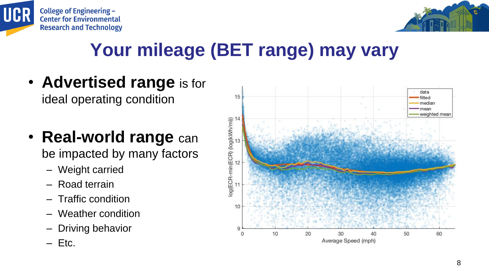



### **Your mileage (BET range) may vary**

- **Advertised range** is for ideal operating condition
- **Real-world range** can be impacted by many factors
	- Weight carried
	- Road terrain
	- Traffic condition
	- Weather condition
	- Driving behavior
	- $-$  Etc.

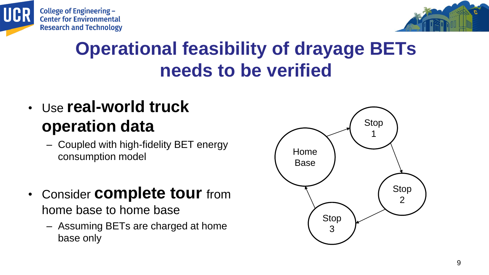



#### **Operational feasibility of drayage BETs needs to be verified**

- Use **real-world truck operation data**
	- Coupled with high-fidelity BET energy consumption model
- Consider **complete tour** from home base to home base
	- Assuming BETs are charged at home base only

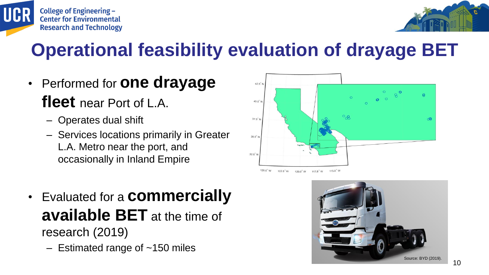

#### **Operational feasibility evaluation of drayage BET**

- Performed for **one drayage fleet** near Port of L.A.
	- Operates dual shift

**College of Engineering -**

**Center for Environmental Research and Technology** 

UCR

- Services locations primarily in Greater L.A. Metro near the port, and occasionally in Inland Empire
- Evaluated for a **commercially available BET** at the time of research (2019)
	- $-$  Estimated range of  $~150$  miles



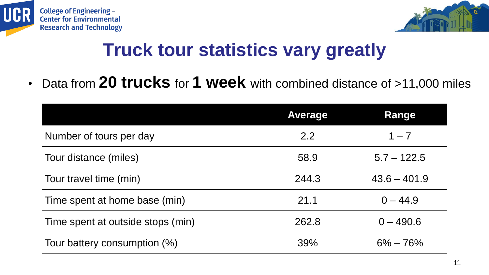



### **Truck tour statistics vary greatly**

• Data from **20 trucks** for **1 week** with combined distance of >11,000 miles

|                                   | <b>Average</b> | Range          |
|-----------------------------------|----------------|----------------|
| Number of tours per day           | 2.2            | $1 - 7$        |
| Tour distance (miles)             | 58.9           | $5.7 - 122.5$  |
| Tour travel time (min)            | 244.3          | $43.6 - 401.9$ |
| Time spent at home base (min)     | 21.1           | $0 - 44.9$     |
| Time spent at outside stops (min) | 262.8          | $0 - 490.6$    |
| Tour battery consumption (%)      | 39%            | $6\% - 76\%$   |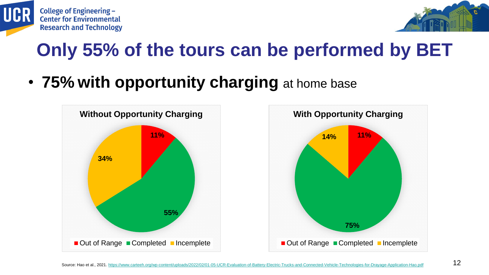



## **Only 55% of the tours can be performed by BET**

• **75% with opportunity charging** at home base



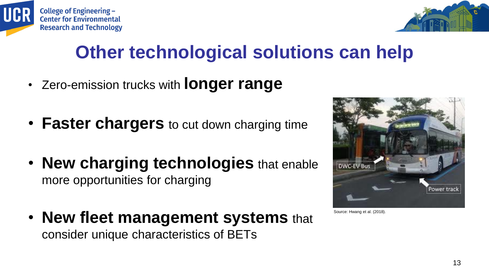



## **Other technological solutions can help**

- Zero-emission trucks with **longer range**
- **Faster chargers** to cut down charging time
- **New charging technologies** that enable more opportunities for charging
- **New fleet management systems** that consider unique characteristics of BETs



Source: Hwang et al. (2018).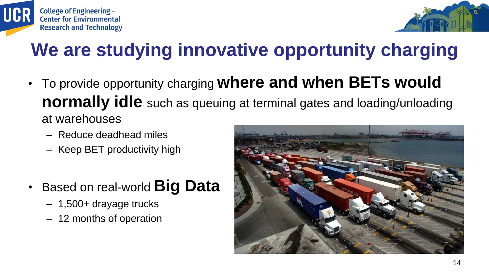



### **We are studying innovative opportunity charging**

- To provide opportunity charging **where and when BETs would normally idle** such as queuing at terminal gates and loading/unloading at warehouses
	- Reduce deadhead miles
	- Keep BET productivity high
- Based on real-world **Big Data**
	- 1,500+ drayage trucks
	- 12 months of operation

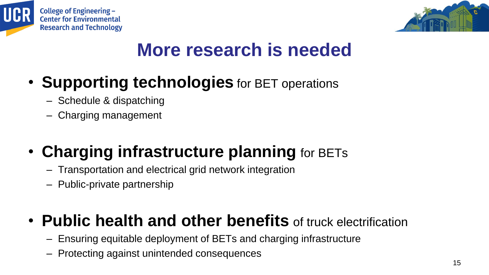



#### **More research is needed**

- **Supporting technologies** for BET operations
	- Schedule & dispatching
	- Charging management
- **Charging infrastructure planning** for BETs
	- Transportation and electrical grid network integration
	- Public-private partnership

#### • **Public health and other benefits** of truck electrification

- Ensuring equitable deployment of BETs and charging infrastructure
- Protecting against unintended consequences